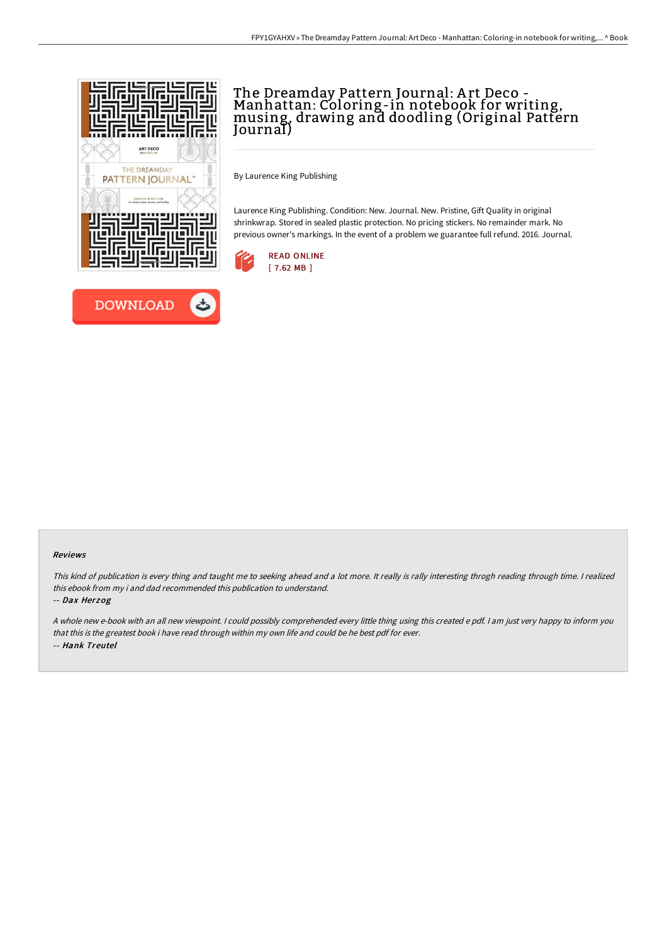



# The Dreamday Pattern Journal: Art Deco -<br>Manhattan: Coloring-in notebook for writing,<br>musing, drawing and doodling (Original Pattern Journal)

By Laurence King Publishing

Laurence King Publishing. Condition: New. Journal. New. Pristine, Gift Quality in original shrinkwrap. Stored in sealed plastic protection. No pricing stickers. No remainder mark. No previous owner's markings. In the event of a problem we guarantee full refund. 2016. Journal.



### Reviews

This kind of publication is every thing and taught me to seeking ahead and <sup>a</sup> lot more. It really is rally interesting throgh reading through time. <sup>I</sup> realized this ebook from my i and dad recommended this publication to understand.

-- Dax Herzog

<sup>A</sup> whole new e-book with an all new viewpoint. <sup>I</sup> could possibly comprehended every little thing using this created <sup>e</sup> pdf. <sup>I</sup> am just very happy to inform you that this is the greatest book i have read through within my own life and could be he best pdf for ever. -- Hank Treutel